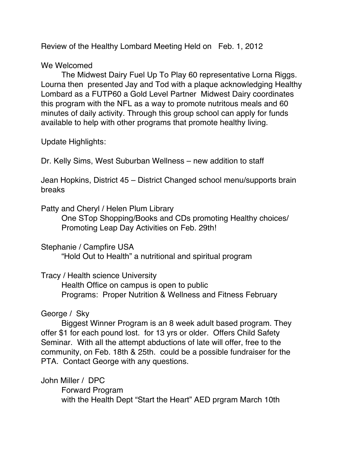Review of the Healthy Lombard Meeting Held on Feb. 1, 2012

## We Welcomed

The Midwest Dairy Fuel Up To Play 60 representative Lorna Riggs. Lourna then presented Jay and Tod with a plaque acknowledging Healthy Lombard as a FUTP60 a Gold Level Partner Midwest Dairy coordinates this program with the NFL as a way to promote nutritous meals and 60 minutes of daily activity. Through this group school can apply for funds available to help with other programs that promote healthy living.

Update Highlights:

Dr. Kelly Sims, West Suburban Wellness – new addition to staff

Jean Hopkins, District 45 – District Changed school menu/supports brain breaks

Patty and Cheryl / Helen Plum Library

One STop Shopping/Books and CDs promoting Healthy choices/ Promoting Leap Day Activities on Feb. 29th!

Stephanie / Campfire USA

"Hold Out to Health" a nutritional and spiritual program

Tracy / Health science University

Health Office on campus is open to public Programs: Proper Nutrition & Wellness and Fitness February

# George / Sky

Biggest Winner Program is an 8 week adult based program. They offer \$1 for each pound lost. for 13 yrs or older. Offers Child Safety Seminar. With all the attempt abductions of late will offer, free to the community, on Feb. 18th & 25th. could be a possible fundraiser for the PTA. Contact George with any questions.

John Miller / DPC Forward Program with the Health Dept "Start the Heart" AED prgram March 10th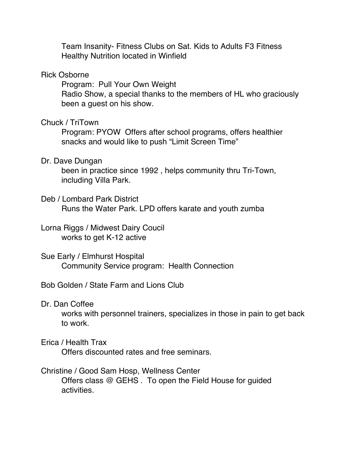Team Insanity- Fitness Clubs on Sat. Kids to Adults F3 Fitness Healthy Nutrition located in Winfield

#### Rick Osborne

Program: Pull Your Own Weight Radio Show, a special thanks to the members of HL who graciously been a guest on his show.

### Chuck / TriTown

Program: PYOW Offers after school programs, offers healthier snacks and would like to push "Limit Screen Time"

#### Dr. Dave Dungan

been in practice since 1992 , helps community thru Tri-Town, including Villa Park.

Deb / Lombard Park District Runs the Water Park. LPD offers karate and youth zumba

Lorna Riggs / Midwest Dairy Coucil works to get K-12 active

Sue Early / Elmhurst Hospital Community Service program: Health Connection

Bob Golden / State Farm and Lions Club

Dr. Dan Coffee

works with personnel trainers, specializes in those in pain to get back to work.

### Erica / Health Trax

Offers discounted rates and free seminars.

## Christine / Good Sam Hosp, Wellness Center Offers class @ GEHS . To open the Field House for guided activities.